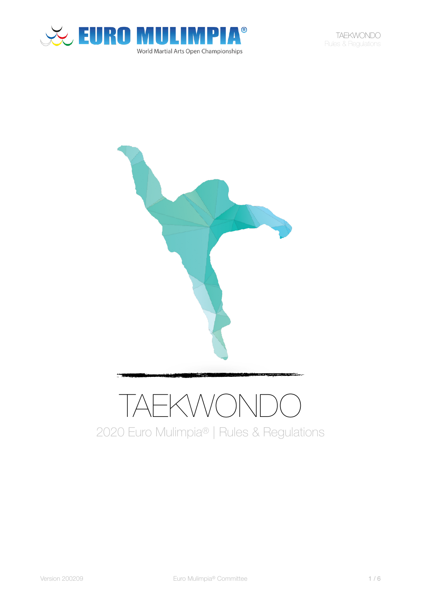

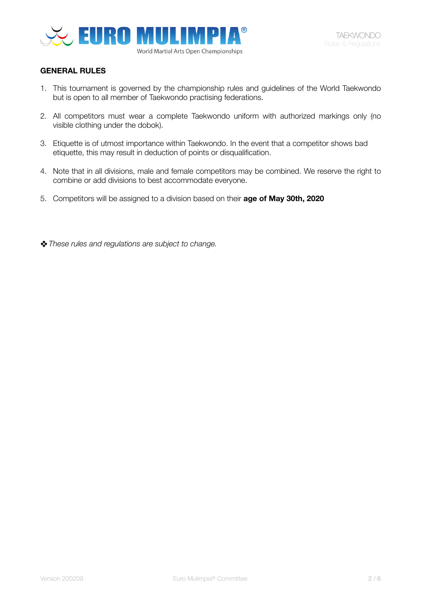

## **GENERAL RULES**

- 1. This tournament is governed by the championship rules and guidelines of the World Taekwondo but is open to all member of Taekwondo practising federations.
- 2. All competitors must wear a complete Taekwondo uniform with authorized markings only (no visible clothing under the dobok).
- 3. Etiquette is of utmost importance within Taekwondo. In the event that a competitor shows bad etiquette, this may result in deduction of points or disqualification.
- 4. Note that in all divisions, male and female competitors may be combined. We reserve the right to combine or add divisions to best accommodate everyone.
- 5. Competitors will be assigned to a division based on their **age of May 30th, 2020**
- ❖*These rules and regulations are subject to change.*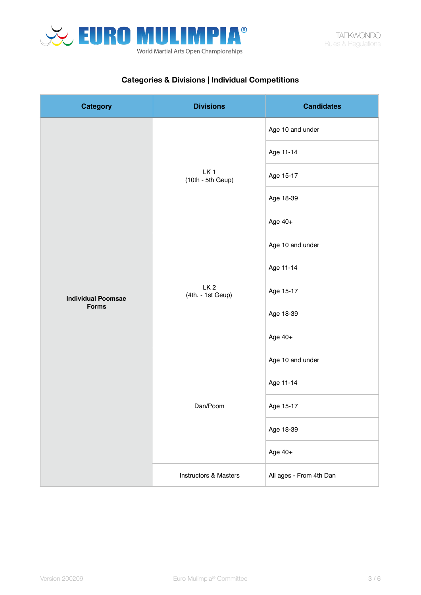

# **Categories & Divisions | Individual Competitions**

| <b>Category</b>                           | <b>Divisions</b>                       | <b>Candidates</b>       |
|-------------------------------------------|----------------------------------------|-------------------------|
|                                           | LK <sub>1</sub><br>$(10th - 5th Geup)$ | Age 10 and under        |
|                                           |                                        | Age 11-14               |
|                                           |                                        | Age 15-17               |
| <b>Individual Poomsae</b><br><b>Forms</b> |                                        | Age 18-39               |
|                                           |                                        | Age 40+                 |
|                                           | LK <sub>2</sub><br>(4th. - 1st Geup)   | Age 10 and under        |
|                                           |                                        | Age 11-14               |
|                                           |                                        | Age 15-17               |
|                                           |                                        | Age 18-39               |
|                                           |                                        | Age 40+                 |
|                                           | Dan/Poom                               | Age 10 and under        |
|                                           |                                        | Age 11-14               |
|                                           |                                        | Age 15-17               |
|                                           |                                        | Age 18-39               |
|                                           |                                        | Age 40+                 |
|                                           | Instructors & Masters                  | All ages - From 4th Dan |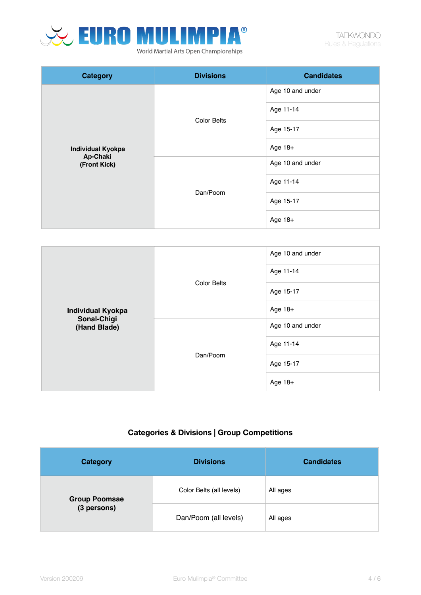

| <b>Category</b>                                      | <b>Divisions</b>   | <b>Candidates</b> |
|------------------------------------------------------|--------------------|-------------------|
| <b>Individual Kyokpa</b><br>Ap-Chaki<br>(Front Kick) | <b>Color Belts</b> | Age 10 and under  |
|                                                      |                    | Age 11-14         |
|                                                      |                    | Age 15-17         |
|                                                      |                    | Age 18+           |
|                                                      | Dan/Poom           | Age 10 and under  |
|                                                      |                    | Age 11-14         |
|                                                      |                    | Age 15-17         |
|                                                      |                    | Age 18+           |

| <b>Individual Kyokpa</b><br>Sonal-Chigi<br>(Hand Blade) | <b>Color Belts</b> | Age 10 and under<br>Age 11-14 |
|---------------------------------------------------------|--------------------|-------------------------------|
|                                                         |                    | Age 15-17                     |
|                                                         |                    | Age 18+                       |
|                                                         | Dan/Poom           | Age 10 and under              |
|                                                         |                    | Age 11-14                     |
|                                                         |                    | Age 15-17                     |
|                                                         |                    | Age 18+                       |

# **Categories & Divisions | Group Competitions**

| <b>Category</b>                     | <b>Divisions</b>         | <b>Candidates</b> |
|-------------------------------------|--------------------------|-------------------|
| <b>Group Poomsae</b><br>(3 persons) | Color Belts (all levels) | All ages          |
|                                     | Dan/Poom (all levels)    | All ages          |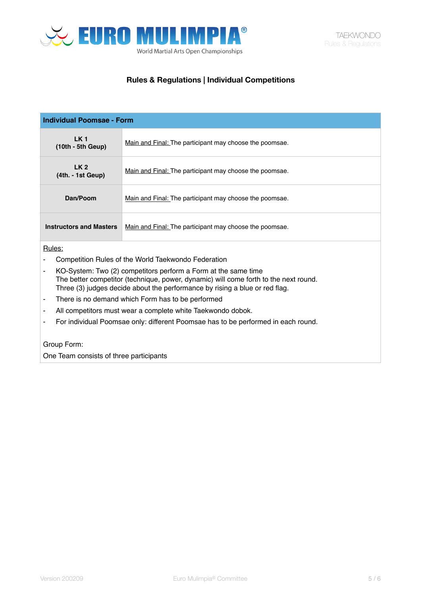

# **Rules & Regulations | Individual Competitions**

| <b>Individual Poomsae - Form</b>                                                                                                                                                                                                      |                                                         |  |
|---------------------------------------------------------------------------------------------------------------------------------------------------------------------------------------------------------------------------------------|---------------------------------------------------------|--|
| LK <sub>1</sub><br>$(10th - 5th Geup)$                                                                                                                                                                                                | Main and Final: The participant may choose the poomsae. |  |
| LK <sub>2</sub><br>$(4th. - 1st Geup)$                                                                                                                                                                                                | Main and Final: The participant may choose the poomsae. |  |
| Dan/Poom                                                                                                                                                                                                                              | Main and Final: The participant may choose the poomsae. |  |
| <b>Instructors and Masters</b>                                                                                                                                                                                                        | Main and Final: The participant may choose the poomsae. |  |
| Rules:                                                                                                                                                                                                                                |                                                         |  |
| Competition Rules of the World Taekwondo Federation                                                                                                                                                                                   |                                                         |  |
| KO-System: Two (2) competitors perform a Form at the same time<br>The better competitor (technique, power, dynamic) will come forth to the next round.<br>Three (3) judges decide about the performance by rising a blue or red flag. |                                                         |  |
| There is no demand which Form has to be performed<br>۰                                                                                                                                                                                |                                                         |  |
| All competitors must wear a complete white Taekwondo dobok.<br>۰                                                                                                                                                                      |                                                         |  |
| For individual Poomsae only: different Poomsae has to be performed in each round.                                                                                                                                                     |                                                         |  |

## Group Form:

One Team consists of three participants